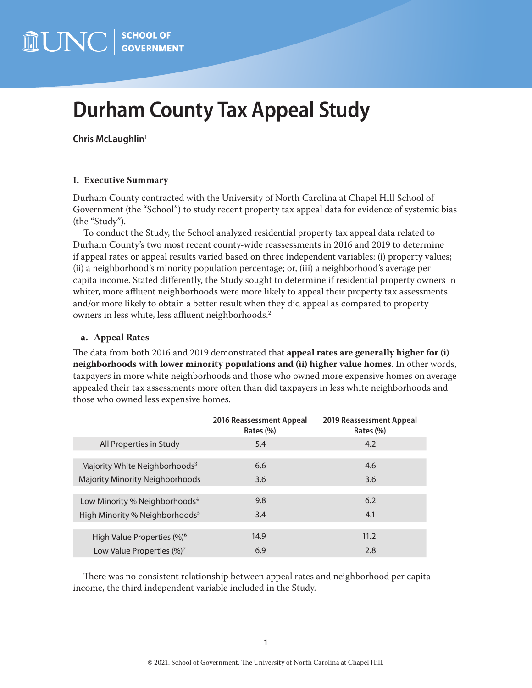# <span id="page-0-0"></span>**Durham County Tax Appeal Study**

**Chris McLaughlin**[1](#page-9-0)

# **I. Executive Summary**

Durham County contracted with the University of North Carolina at Chapel Hill School of Government (the "School") to study recent property tax appeal data for evidence of systemic bias (the "Study").

To conduct the Study, the School analyzed residential property tax appeal data related to Durham County's two most recent county-wide reassessments in 2016 and 2019 to determine if appeal rates or appeal results varied based on three independent variables: (i) property values; (ii) a neighborhood's minority population percentage; or, (iii) a neighborhood's average per capita income. Stated differently, the Study sought to determine if residential property owners in whiter, more affluent neighborhoods were more likely to appeal their property tax assessments and/or more likely to obtain a better result when they did appeal as compared to property owners in less white, less affluent neighborhoods.[2](#page-9-0)

# **a. Appeal Rates**

The data from both 2016 and 2019 demonstrated that **appeal rates are generally higher for (i) neighborhoods with lower minority populations and (ii) higher value homes**. In other words, taxpayers in more white neighborhoods and those who owned more expensive homes on average appealed their tax assessments more often than did taxpayers in less white neighborhoods and those who owned less expensive homes.

|                                            | 2016 Reassessment Appeal<br>Rates (%) | 2019 Reassessment Appeal<br>Rates (%) |
|--------------------------------------------|---------------------------------------|---------------------------------------|
| All Properties in Study                    | 5.4                                   | 4.2                                   |
|                                            |                                       |                                       |
| Majority White Neighborhoods <sup>3</sup>  | 6.6                                   | 4.6                                   |
| Majority Minority Neighborhoods            | 3.6                                   | 3.6                                   |
|                                            |                                       |                                       |
| Low Minority % Neighborhoods <sup>4</sup>  | 9.8                                   | 6.2                                   |
| High Minority % Neighborhoods <sup>5</sup> | 3.4                                   | 4.1                                   |
|                                            |                                       |                                       |
| High Value Properties (%) <sup>6</sup>     | 14.9                                  | 11.2                                  |
| Low Value Properties $(\%)^7$              | 6.9                                   | 2.8                                   |

There was no consistent relationship between appeal rates and neighborhood per capita income, the third independent variable included in the Study.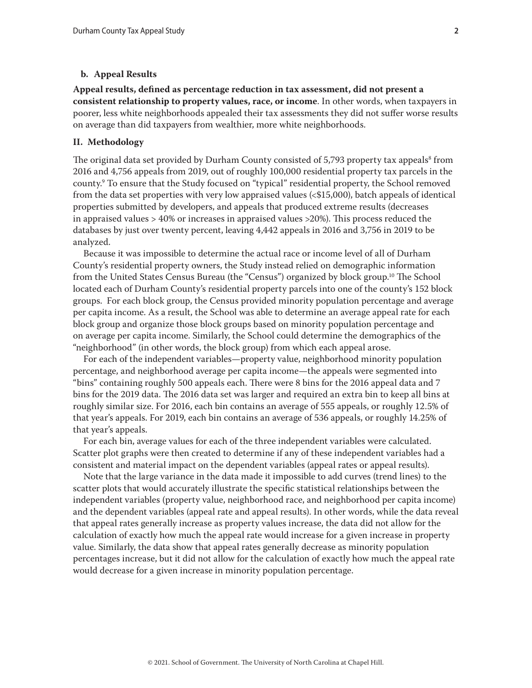#### <span id="page-1-0"></span>**b. Appeal Results**

**Appeal results, defined as percentage reduction in tax assessment, did not present a consistent relationship to property values, race, or income**. In other words, when taxpayers in poorer, less white neighborhoods appealed their tax assessments they did not suffer worse results on average than did taxpayers from wealthier, more white neighborhoods.

#### **II. Methodology**

The original data set provided by Durham County consisted of 5,793 property tax appeals $^{\rm 8}$  from 2016 and 4,756 appeals from 2019, out of roughly 100,000 residential property tax parcels in the county[.9](#page-9-0) To ensure that the Study focused on "typical" residential property, the School removed from the data set properties with very low appraised values (<\$15,000), batch appeals of identical properties submitted by developers, and appeals that produced extreme results (decreases in appraised values > 40% or increases in appraised values >20%). This process reduced the databases by just over twenty percent, leaving 4,442 appeals in 2016 and 3,756 in 2019 to be analyzed.

Because it was impossible to determine the actual race or income level of all of Durham County's residential property owners, the Study instead relied on demographic information from the United States Census Bureau (the "Census") organized by block group.<sup>10</sup> The School located each of Durham County's residential property parcels into one of the county's 152 block groups. For each block group, the Census provided minority population percentage and average per capita income. As a result, the School was able to determine an average appeal rate for each block group and organize those block groups based on minority population percentage and on average per capita income. Similarly, the School could determine the demographics of the "neighborhood" (in other words, the block group) from which each appeal arose.

For each of the independent variables—property value, neighborhood minority population percentage, and neighborhood average per capita income—the appeals were segmented into "bins" containing roughly 500 appeals each. There were 8 bins for the 2016 appeal data and 7 bins for the 2019 data. The 2016 data set was larger and required an extra bin to keep all bins at roughly similar size. For 2016, each bin contains an average of 555 appeals, or roughly 12.5% of that year's appeals. For 2019, each bin contains an average of 536 appeals, or roughly 14.25% of that year's appeals.

For each bin, average values for each of the three independent variables were calculated. Scatter plot graphs were then created to determine if any of these independent variables had a consistent and material impact on the dependent variables (appeal rates or appeal results).

Note that the large variance in the data made it impossible to add curves (trend lines) to the scatter plots that would accurately illustrate the specific statistical relationships between the independent variables (property value, neighborhood race, and neighborhood per capita income) and the dependent variables (appeal rate and appeal results). In other words, while the data reveal that appeal rates generally increase as property values increase, the data did not allow for the calculation of exactly how much the appeal rate would increase for a given increase in property value. Similarly, the data show that appeal rates generally decrease as minority population percentages increase, but it did not allow for the calculation of exactly how much the appeal rate would decrease for a given increase in minority population percentage.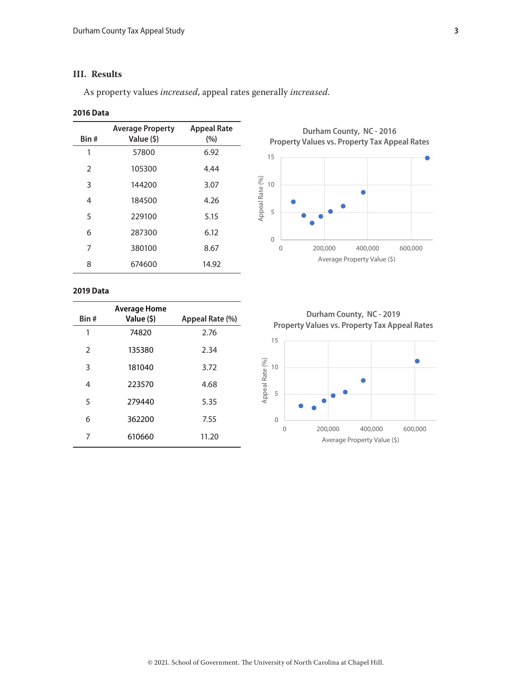# **III. Results**

As property values *increased*, appeal rates generally *increased*.

#### **2016 Data**

| Bin#          | <b>Average Property</b><br>Value (\$) | <b>Appeal Rate</b><br>(%) |
|---------------|---------------------------------------|---------------------------|
| 1             | 57800                                 | 6.92                      |
| $\mathcal{P}$ | 105300                                | 4.44                      |
| 3             | 144200                                | 3.07                      |
| 4             | 184500                                | 4.26                      |
| 5             | 229100                                | 5.15                      |
| 6             | 287300                                | 6.12                      |
| 7             | 380100                                | 8.67                      |
| 8             | 674600                                | 14.92                     |

**Durham County, NC - 2016 Property Values vs. Property Tax Appeal Rates**



#### **2019 Data**

| Bin # | <b>Average Home</b><br>Value (\$) | Appeal Rate (%) |
|-------|-----------------------------------|-----------------|
| 1     | 74820                             | 2.76            |
| 2     | 135380                            | 2.34            |
| 3     | 181040                            | 3.72            |
| 4     | 223570                            | 4.68            |
| 5     | 279440                            | 5.35            |
| 6     | 362200                            | 7.55            |
| 7     | 610660                            | 11.20           |

**Durham County, NC - 2019 Property Values vs. Property Tax Appeal Rates**

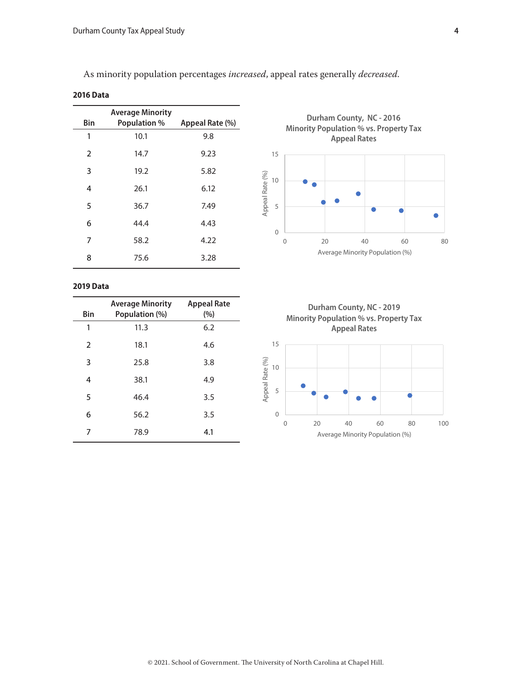As minority population percentages *increased*, appeal rates generally *decreased*.

| <b>2016 Data</b> |                                                |                 |
|------------------|------------------------------------------------|-----------------|
| <b>Bin</b>       | <b>Average Minority</b><br><b>Population %</b> | Appeal Rate (%) |
| 1                | 10.1                                           | 9.8             |
| 2                | 14.7                                           | 9.23            |
| 3                | 19.2                                           | 5.82            |
| 4                | 26.1                                           | 6.12            |
| 5                | 36.7                                           | 7.49            |
| 6                | 44.4                                           | 4.43            |
| 7                | 58.2                                           | 4.22            |
| 8                | 75.6                                           | 3.28            |

**Durham County, NC - 2016 Minority Population % vs. Property Tax Appeal Rates** 



#### **2019 Data**

| Bin | <b>Average Minority</b><br>Population (%) | <b>Appeal Rate</b><br>(%) |
|-----|-------------------------------------------|---------------------------|
| 1   | 11.3                                      | 6.2                       |
| 2   | 18.1                                      | 4.6                       |
| 3   | 25.8                                      | 3.8                       |
| 4   | 38.1                                      | 4.9                       |
| 5   | 46.4                                      | 3.5                       |
| 6   | 56.2                                      | 3.5                       |
| 7   | 78.9                                      | 4.1                       |



Average Minority Population (%)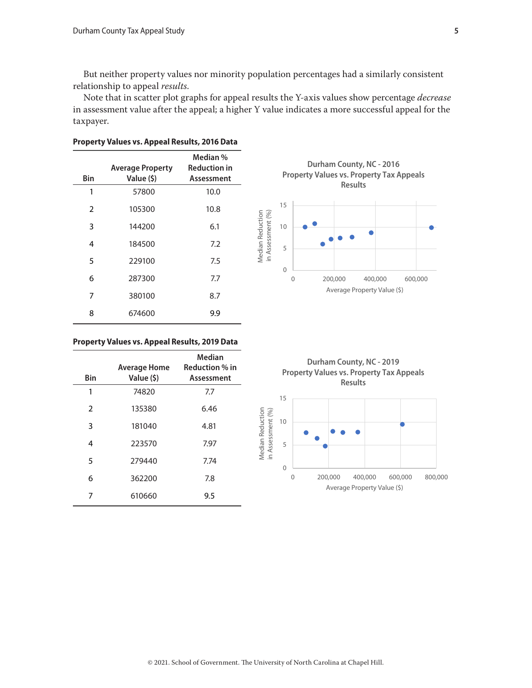But neither property values nor minority population percentages had a similarly consistent relationship to appeal *results*.

Note that in scatter plot graphs for appeal results the Y-axis values show percentage *decrease* in assessment value after the appeal; a higher Y value indicates a more successful appeal for the taxpayer.

| Bin           | <b>Average Property</b><br>Value (\$) | Median %<br><b>Reduction in</b><br>Assessment |
|---------------|---------------------------------------|-----------------------------------------------|
| 1             | 57800                                 | 10.0                                          |
| $\mathcal{P}$ | 105300                                | 10.8                                          |
| 3             | 144200                                | 6.1                                           |
| 4             | 184500                                | 7.2                                           |
| 5             | 229100                                | 7.5                                           |
| 6             | 287300                                | 7.7                                           |
| 7             | 380100                                | 8.7                                           |
| 8             | 674600                                | 9.9                                           |

#### **Property Values vs. Appeal Results, 2016 Data**



| Bin            | <b>Average Home</b><br>Value (\$) | <b>Median</b><br><b>Reduction % in</b><br>Assessment |
|----------------|-----------------------------------|------------------------------------------------------|
| 1              | 74820                             | 7.7                                                  |
| $\overline{2}$ | 135380                            | 6.46                                                 |
| 3              | 181040                            | 4.81                                                 |
| 4              | 223570                            | 7.97                                                 |
| 5              | 279440                            | 7.74                                                 |
| 6              | 362200                            | 7.8                                                  |
| 7              | 610660                            | 9.5                                                  |



**Durham County, NC - 2019 Property Values vs. Property Tax Appeals Results**

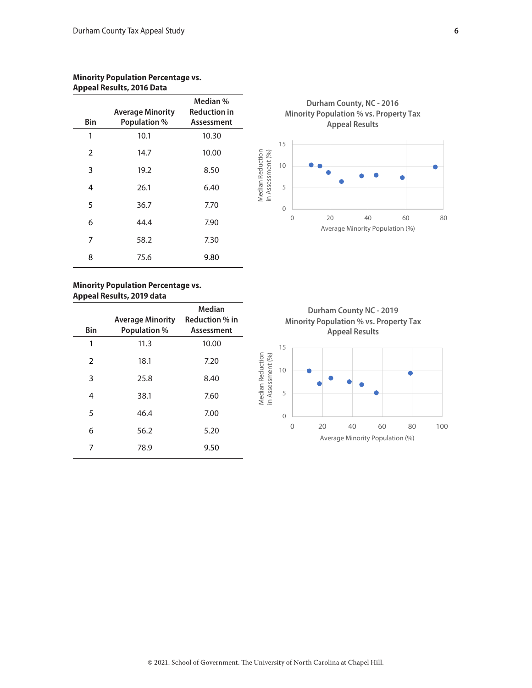### **Minority Population Percentage vs. Appeal Results, 2016 Data**

| Bin           | <b>Average Minority</b><br><b>Population %</b> | Median %<br><b>Reduction in</b><br>Assessment |
|---------------|------------------------------------------------|-----------------------------------------------|
| 1             | 10.1                                           | 10.30                                         |
| $\mathcal{P}$ | 14.7                                           | 10.00                                         |
| 3             | 19.2                                           | 8.50                                          |
| 4             | 26.1                                           | 6.40                                          |
| 5             | 36.7                                           | 7.70                                          |
| 6             | 44.4                                           | 7.90                                          |
| 7             | 58.2                                           | 7.30                                          |
| 8             | 75.6                                           | 9.80                                          |



| Bin           | <b>Average Minority</b><br><b>Population %</b> | Median<br><b>Reduction % in</b><br>Assessment |
|---------------|------------------------------------------------|-----------------------------------------------|
| 1             | 11.3                                           | 10.00                                         |
| $\mathcal{P}$ | 18.1                                           | 7.20                                          |
| 3             | 25.8                                           | 8.40                                          |
| 4             | 38.1                                           | 7.60                                          |
| 5             | 46.4                                           | 7.00                                          |
| 6             | 56.2                                           | 5.20                                          |
|               | 78.9                                           | 9.50                                          |





0 20 40 60 80 100

Average Minority Population (%)

0

Median Reduction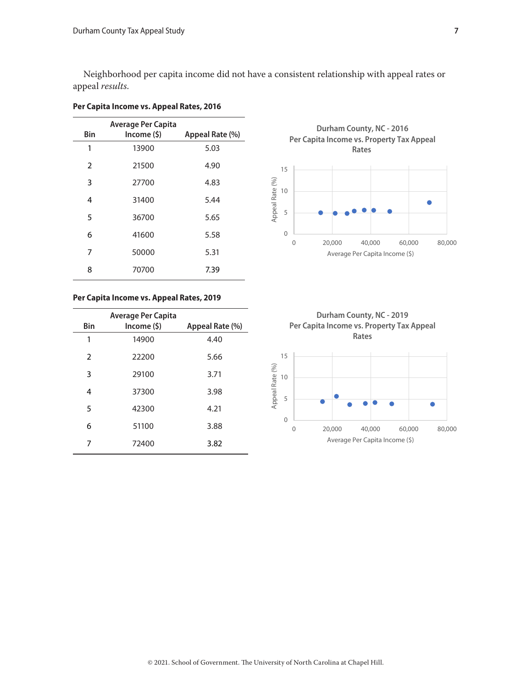Neighborhood per capita income did not have a consistent relationship with appeal rates or appeal *results*.

|                | <b>Average Per Capita</b> |                 |
|----------------|---------------------------|-----------------|
| <b>Bin</b>     | Income(5)                 | Appeal Rate (%) |
| 1              | 13900                     | 5.03            |
| $\overline{2}$ | 21500                     | 4.90            |
| 3              | 27700                     | 4.83            |
| 4              | 31400                     | 5.44            |
| 5              | 36700                     | 5.65            |
| 6              | 41600                     | 5.58            |
| 7              | 50000                     | 5.31            |
| 8              | 70700                     | 7.39            |

# **Per Capita Income vs. Appeal Rates, 2016**

# **Per Capita Income vs. Appeal Rates, 2019**

| <b>Bin</b>     | <b>Average Per Capita</b><br>Income (\$) | Appeal Rate (%) |
|----------------|------------------------------------------|-----------------|
| 1              | 14900                                    | 4.40            |
| $\mathfrak{D}$ | 22200                                    | 5.66            |
| 3              | 29100                                    | 3.71            |
| 4              | 37300                                    | 3.98            |
| 5              | 42300                                    | 4.21            |
| 6              | 51100                                    | 3.88            |
| 7              | 72400                                    | 3.82            |



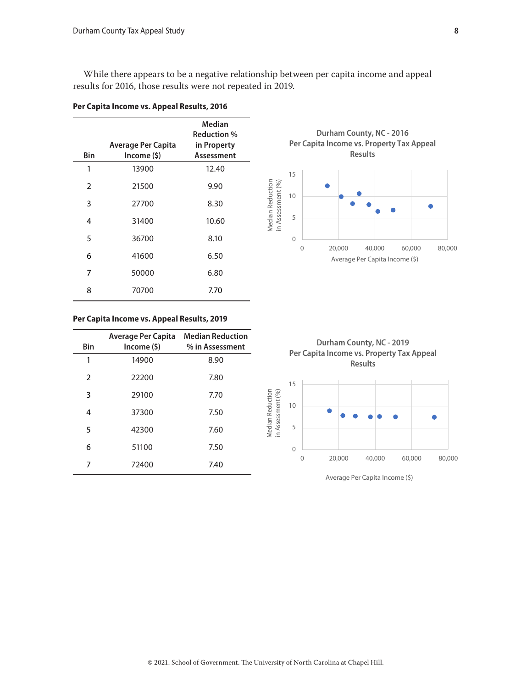While there appears to be a negative relationship between per capita income and appeal results for 2016, those results were not repeated in 2019.

| Bin            | <b>Average Per Capita</b><br>Income (\$) | Median<br><b>Reduction</b> %<br>in Property<br>Assessment |
|----------------|------------------------------------------|-----------------------------------------------------------|
| 1              | 13900                                    | 12.40                                                     |
| $\overline{2}$ | 21500                                    | 9.90                                                      |
| 3              | 27700                                    | 8.30                                                      |
| 4              | 31400                                    | 10.60                                                     |
| 5              | 36700                                    | 8.10                                                      |
| 6              | 41600                                    | 6.50                                                      |
| 7              | 50000                                    | 6.80                                                      |
| 8              | 70700                                    | 7.70                                                      |

#### **Per Capita Income vs. Appeal Results, 2016**



#### **Per Capita Income vs. Appeal Results, 2019**

| Bin            | <b>Average Per Capita Median Reduction</b><br>Income (\$) | % in Assessment |
|----------------|-----------------------------------------------------------|-----------------|
| 1              | 14900                                                     | 8.90            |
| $\mathfrak{D}$ | 22200                                                     | 7.80            |
| 3              | 29100                                                     | 7.70            |
| 4              | 37300                                                     | 7.50            |
| 5              | 42300                                                     | 7.60            |
| 6              | 51100                                                     | 7.50            |
| 7              | 72400                                                     | 7.40            |

**Durham County, NC - 2019 Per Capita Income vs. Property Tax Appeal Results**



Average Per Capita Income (\$)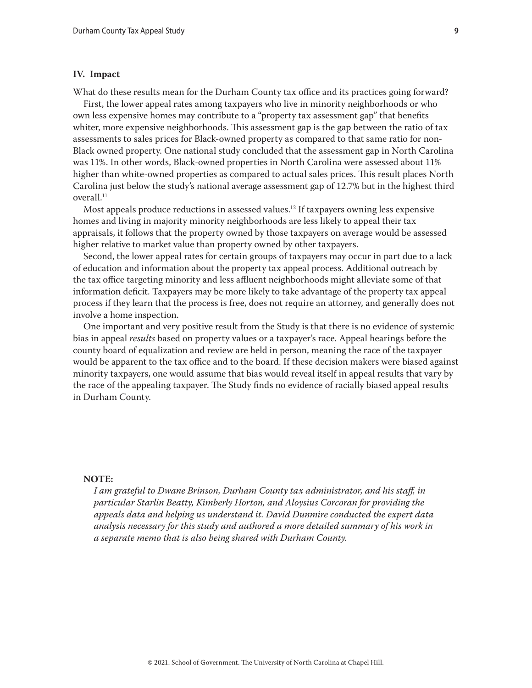#### <span id="page-8-0"></span>**IV. Impact**

What do these results mean for the Durham County tax office and its practices going forward?

First, the lower appeal rates among taxpayers who live in minority neighborhoods or who own less expensive homes may contribute to a "property tax assessment gap" that benefits whiter, more expensive neighborhoods. This assessment gap is the gap between the ratio of tax assessments to sales prices for Black-owned property as compared to that same ratio for non-Black owned property. One national study concluded that the assessment gap in North Carolina was 11%. In other words, Black-owned properties in North Carolina were assessed about 11% higher than white-owned properties as compared to actual sales prices. This result places North Carolina just below the study's national average assessment gap of 12.7% but in the highest third overall.<sup>11</sup>

Most appeals produce reductions in assessed values.<sup>12</sup> If taxpayers owning less expensive homes and living in majority minority neighborhoods are less likely to appeal their tax appraisals, it follows that the property owned by those taxpayers on average would be assessed higher relative to market value than property owned by other taxpayers.

Second, the lower appeal rates for certain groups of taxpayers may occur in part due to a lack of education and information about the property tax appeal process. Additional outreach by the tax office targeting minority and less affluent neighborhoods might alleviate some of that information deficit. Taxpayers may be more likely to take advantage of the property tax appeal process if they learn that the process is free, does not require an attorney, and generally does not involve a home inspection.

One important and very positive result from the Study is that there is no evidence of systemic bias in appeal *results* based on property values or a taxpayer's race. Appeal hearings before the county board of equalization and review are held in person, meaning the race of the taxpayer would be apparent to the tax office and to the board. If these decision makers were biased against minority taxpayers, one would assume that bias would reveal itself in appeal results that vary by the race of the appealing taxpayer. The Study finds no evidence of racially biased appeal results in Durham County.

#### **NOTE:**

*I am grateful to Dwane Brinson, Durham County tax administrator, and his staff, in particular Starlin Beatty, Kimberly Horton, and Aloysius Corcoran for providing the appeals data and helping us understand it. David Dunmire conducted the expert data analysis necessary for this study and authored a more detailed summary of his work in a separate memo that is also being shared with Durham County.*